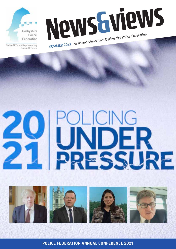

Police Officers

News Guie Police Federation SUMMER 2021 News and views from Derbyshire Police Federation





**1 POLICE FEDERATION ANNUAL CONFERENCE 2021**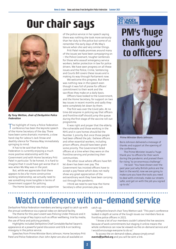## **Our chair says**



*By Tony Wetton, chair of Derbyshire Police Federation*

The highlight of many a Police Federation<br>
conference has been the keynote speech<br>
Lines of the Home Secretary of the day. There have been some dramatic moments, a slow hand clap for Labour's Jack Straw and deathly silence for Theresa May immediately springing to mind.

It has to be said that the Police Federation is currently enjoying a much more positive relationship with the Government and with Home Secretary Priti Patel in particular. To be honest, it is hard to imagine that it could have got worse than it was when Ms May was in the post.

But, while we appreciate that there appears to be a far more constructive working relationship, we actually need to see something more tangible in terms of Government support for policing.

The Home Secretary was very supportive

of the police service in her speech saying there was nothing she took more seriously than her duty to the police but some of us remember the early days of Ms May's tenure when she said very similar things.

Priti Patel made promises around many of the issues we have been campaigning on – the Police Covenant, tougher sentences for those who assault emergency service workers, better protection in law for police drivers. We have seen progress on all these issues and the Police, Crime, Sentencing and Courts Bill covers these issues and is making its way through Parliament now.

We welcome this progress. But there was nothing new in the speech even though it was full of praise for officers' commitment to their work and the sacrifices they make on a daily basis.

Officers have looked to the Government, and the Home Secretary, for support on two key issues in recent months and sadly they were completely let down by them.

The first was over the Covid jabs. At no time did anyone in policing say that officers and frontline staff should jump the queue during the first stage of the vaccine roll-out programme.

It was right and proper that the elderly, the vulnerable and those working in the NHS and in care homes should be the Number 1 priority. But once those people had been offered the jab, I believe officers and other essential workers, including prison officers, should have been given some priority. The Government failed officers at a time when they were on the frontline serving and protecting their communities.

The other issue where officers have felt let down has been over pay. The Government has insisted officers have to accept a pay freeze which does not really show any great appreciation of the extraordinary work they have been carrying out through the pandemic.

I think we need to see how the Home Secretary's other promises play out.

#### **20 UNDER**<br>**21 PRESSURE**

#### **PM's 'huge** thank you' to officers 10am **Welcome** Ian Collins, Facilitator John Apter, National Chair, PFEW **Senior Ministerial Address**



*Prime Minister Boris Johnson.*

Boris Johnson delivered a message of thanks and support at the opening of the conference.

The Prime Minister issued a 'huge thank you' to officers for their work during the pandemic and praised them for rising "to an enormous challenge".

 He said: "You have shown over the past year just why British police are the best in the world, now we are going to make sure you have the tools you need to deal with criminals, make our streets safer, and get on with the job you signed up to do."

### Watch conference with on-demand service

Derbyshire Police Federation members are being urged to catch up with the annual conference via a special video on-demand facility.

The theme for this year's event was Policing Under Pressure and it featured a range of key topics such as officer wellbeing, trial by media, the use of force and policing protests.

Highlights included Derbyshire Chief Constable Rachel Swann's appearance at a powerful panel discussion and Q & A on tackling misogyny in the police service.

Speeches from Prime Minister Boris Johnson, Home Secretary Priti Patel and Police Federation chair John Apter are also all available on

catch-up.

Derbyshire branch chair Tony Wetton said: "This year's conference looked in depth at some of the tough issues our members face as frontline police officers in 2021.

"I know a lot of our members couldn't attend the live sessions because of work commitments but staging it online means the whole conference can now be viewed via the on-demand service and I would encourage everyone to do so."

To access the on-demand videos, please simply email **events@polfed.org** and you will be sent a link.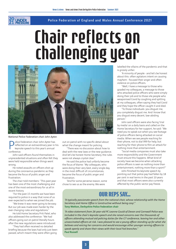

#### \_\_\_\_\_\_\_ Dame Cressida Dick, Commissioner, Metropolitan Police Message of support from a senior chief officer challenging year Chair reflects on



*National Police Federation chair John Apter.*

**P**eflec
keyno
conference. olice Federation chair John Apter has reflected on an extraordinary year in his keynote speech to this year's annual

John said officers found themselves in unprecedented situations and often felt they were held responsible when things went wrong.

He noted assaults on officers shot up during the coronavirus pandemic as they became the focus of public anger and frustration.

The chair told members: "This past year has been one of the most challenging and one of the most extraordinary for us all in recent history.

"For the past 15 months we have been required to police in a way that none of us ever expected to when we joined the job.

"We knew it was never going to be easy. But our job was made even harder by the ever changing rules and regulations."

He told Home Secretary Priti Patel, who also addressed the conference: "We had officers going out on patrol literally hours after the new regulations were introduced.

"They had often received no detailed briefing because the laws had only just been passed, which meant they were often going

out on patrol with no specific detail about what the change meant for policing.

"There was no discussion about how to deal with the new laws or the new guidance. And let's be honest Home Secretary, the rules were not always crystal clear."

He said the police had unfairly become the focus of blame: "My colleagues, who were doing their very best, every single day, in the most difficult of circumstances, became the focus of public anger and frustration.

"And for some perverse reason, some chose to see us as the enemy. We were

labelled the villains of the pandemic and that is grossly unfair.

"A minority of people - and let's be honest about this: often agitators intent on causing mayhem - focused their anger and often violence on police officers.

"Well, I have a message to those who goaded my colleagues, a message to those who attacked police officers who were simply doing their job and to those vile people who weaponised Covid by coughing and spitting at my colleagues, often saying they had Covid and they hope the officer caught it and died.

"To those individuals: you disgust me, you completely disgust me. And I know that you disgust every decent, law-abiding person."

John said officers were also facing 'trial by media' on a daily basis and called on the Home Secretary for her support, he said: "We need you to speak out when you see footage of police officers being attacked on social media. When we see people reaching for their phone, not to dial 999 for help, but reaching for their phone to film an attack for nothing more than entertainment.

"Social media companies must also take more responsibility and the Government must ensure this happens. What kind of society have we become when attacking police officers is seen as nothing more than entertainment, nothing more than a sport?"

John finished his keynote speech by pointing out that police pay had fallen by 18 per cent in real terms in the past 10 years and that most officers were also currently affected by the public sector pay freeze.

#### **OUR REPS SAY...**

*"A typically passionate speech from the national chair, whose relationship with the Home Secretary and Home Office is 'constructive without being cosy'."*  **Tony Wetton, Derbyshire Police Federation chair**

*"A video statement from 26-year-old PC Leanne Gould of Devon and Cornwall Police was included in the chair's keynote speech and she raised concerns over the thousands of officers attending mutual aid policing duties for the G7 conference, leaving her and other unvaccinated officers at risk. I was pleased to see a young officer standing up for what she believes and voicing her concerns and would encourage other younger serving officers to speak openly and share their views with their local Fed branches."*  **Paul Russell**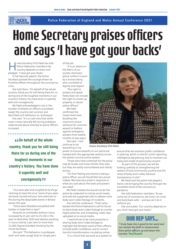

# **Home Secretary praises officers** and says 'I have got your backs'

*n deservetary Priti Patel has* Police Federation me country depends on them and ome Secretary Priti Patel has told<br>
Police Federation members the<br>
country depends on them and<br>
pledged<sup>, "</sup>I have got your backs" Police Federation members the pledged: "I have got your backs."

In her keynote speech, the Home Secretary praised the courage shown by frontline officers throughout the coronavirus crisis.

She told them: "On behalf of the whole country, thank you for still being there for us during one of the toughest moments in our country's history. You have done it superbly well and courageously."

Ms Patel acknowledged a rise in the number of attacks on officers as protests swept the country last summer and described such behaviour as "grotesque".

She said: "It's a cruel irony that while most crimes naturally fell during lockdown, violence and abuse directed at police officers increased.

**" country, thank you for still being COD** behalf of the whole **there for us during one of the toughest moments in our country's history. You have done it superbly well and**  courageously. *J<sub>J</sub>* 

"You were spat and coughed at by thugs claiming to have the virus. Some of you were seriously injured and your vans were set on fire during the despicable events in Bristol earlier this year.

"Police were bloodied and pelted with bottles in Hyde Park in April."

Assaults on constables without injury increased by 21 per cent to 25,156 in the year to December 2020 and attacks resulting in injury rose by 2 per cent to more than 11,000, figures branded 'shocking' by the Home Secretary.

She said: "This behaviour is grotesque. And I will never accept that it's simply part of the job.

"It is an attack on the fabric of our society. And every police uniform is worn by a human being who is entitled to dignity and respect.

"The right to protest and speak freely does not include the right to smash up property, or abuse police officers."

Ms Patel confirmed the Government was doubling the maximum prison sentence for common assault or battery against emergency workers from twelve months to two years.

She said: "I will continue to do everything in my

power to ensure assaults on our police are treated with the appropriate severity across the whole criminal justice system.

"Those who have contempt for the police may be louder and more vitriolic than ever, but they are vastly outnumbered and utterly wrong.

"Far from feeling any shame in being a police officer, you all should feel very proud indeed. We have also acted in response to what you said about the tools and powers you need."

Ms Patel insisted she would not let the police be subjected to trial by social media and said she supported calls to release more body-worn video footage of incidents.

She told the conference: "That's why I backed the Police Federation's call for forces to share body-worn video footage to counter highly selective, and misleading, video clips uploaded on to social media.

"I want forces to be more proactive in sharing body-worn video footage to highlight the fantastic work of their officers, to build public confidence, and to correct harmful misinformation circulating online.

"It is critical that we work as a system to



*Home Secretary Priti Patel.*

ensure that we maintain public confidence in policing, which is vital for victim reporting, intelligence-led policing, and to maintain our treasured model of policing by consent.

"As part of this process, we will be looking carefully at strengthening the system of local community scrutiny and the value of body-worn video, because transparency is vital."

Ms Patel said the police had played a heroic role bringing the country through the incredible shock of the coronavirus pandemic.

She told Federation members: "As we come out of coronavirus, we must cut crime and build back safer – and we can't do it without you.

She concluded: "Our country depends on you. And I have got your backs."

#### **OUR REP SAYS...**

*"I truly hope she is good to her word and can restore the faith in Government from police officers up and down the country."* **Paul Russell**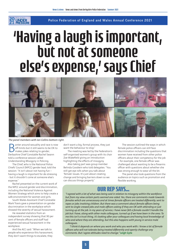

### **Having** but not at someone else's e 'Having a laugh is important,<br>but not at someone else's expense,' says Chief



#### *The panel members with Ian Collins bottom right.*

anter around sexuality and race is now off-limits but it still seems to be OK to makes jokes relating to gender, Derbyshire Chief Constable Rachel Swann told a conference session called Understanding Misogyny in Policing.

The Chief, who is the National Police Chiefs' Council (NPCC) gender lead, told the session: "It isn't about not having fun – having a laugh is important for de-stressing - but it shouldn't come at someone else's expense."

Rachel presented on the current work of the NPCC around gender and discrimination, including the National Violence Against Women Strategy which aims to help create a safe environment for women and girls.

South Wales Assistant Chief Constable Mark Travis gave a presentation on gender discrimination in the workplace which showed the severity of sexual harassment.

He revealed statistics from an independent survey showing that 90 per cent of female officers and staff had experienced sexual harassment in the workplace.

And the ACC said: "When we talk to people who experience this harassment, they don't want things to escalate, they

don't want a big, formal process, they just want the behaviour to stop."

The meeting was led by the Federation's self-organised women's group with its chair Zoe Wakefield giving an introduction highlighting the effects of misogyny.

Also taking part was group member Belinda Goodwin who told delegates: "You still get eye rolls when you talk about 'female' issues. It's just about creating change and bringing barriers down so we can discuss things properly."

The session outlined the ways in which female police officers can still face discrimination including the questions that women have received from other police officers about their competency for the job – for example, one female officer was challenged about wanting to be a firearms officer with questions about whether she was strong enough to wear all the kit.

The panel also took questions from the audience on topics such as promotion and flexible working.

#### **OUR REP SAYS...**

*"I agreed with a lot of what was being said in relation to misogyny within the workforce but from my view certain parts seemed one-sided. Yes, there are comments made towards females which are unnecessary and at times female officers are treated differently, sent to rapes or jobs involving children. But there was a comment about female officers being sent to single-crewed jobs and male officers asking if they are OK with attending or just turning up at the job. In my years of service, I have never felt a female couldn't handle the job but I have, along with other male colleagues, turned up if we have been in the area. To me this isn't a trust thing, it's looking after your colleagues and having local knowledge of who and where they are attending, but this also happens with young in service male colleagues.*

*"I think it depends on where you work and who you work with. I know a lot of female officers who will not tolerate being treated differently and openly challenge any comments. But I agree attitudes need to change."* **Leigh Gyte**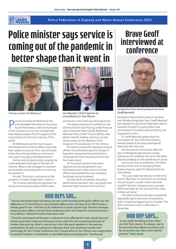

#### Police minister says service is coming out of the pandemic in *12.20pm LUNCH* 1pm 1.10pm better shape than it went in



*Policing minister Kit Malthouse. Her Majesty's Chief Inspector of* 

**P** olicing minister Kit Malthouse has<br>found themselves under at the heig<br>of the coronavirus crisis but insisted they olicing minister Kit Malthouse has acknowledged the pressure the police found themselves under at the height have always enjoyed the full support of the Government and the vast majority of the public.

Mr Malthouse said he stood 'squareshouldered' with frontline officers who had been asked to carry out their normal duties while also policing lockdown restrictions with great courage and professionalism.

And he told conference that, despite the unprecedented challenges of the last 18 months, officers had managed to maintain and probably improved public trust during the pandemic.

He said: "Policing is coming out of the pandemic in better shape than it went in."

The minister admitted he regretted not doing more to ensure police officers were



*Constabulary Sir Tom Winsor.*

prioritised in the Covid vaccine programme.

The opening session of conference, the theme of which was Policing Under Pressure, saw a live panel featuring Mr Malthouse, National Police Chiefs' Council (NPCC) chair Martin Hewitt, shadow policing minister Sarah Jones and Her Majesty's Chief Inspector of Constabulary Sir Tom Winsor.

Mr Hewitt praised the response of police officers but admitted frequent changes in legislation had presented extraordinary challenges for both the police service and the Government.

Sir Tom paid tribute to the police response during the pandemic and dismissed social media criticism of how officers had handled the ever-changing landscape during lockdown.

He said while not perfect, the police performance had been "very, very good" and deserved high marks of nine out of 10.

#### **OUR REPS SAY...**

*"Having had several years of seeing and now understanding what police officers do, the difference in Sir Tom Winsor's view of police officers from the days of his 2010 review is always good to see. I told him so at conference a couple of years ago. Positive messages towards police officers and the Police Federation from all involved on the panel session."*  **Tony Wetton, Derbyshire Police Federation chair**

*"The title and artwork of this year's conference truly reflected the state of policing and I totally agree that cracks are starting to show under the ever-increasing demands of modern day policing. What is reassuring is that the guest speakers in the opening presentation do seem to understand. Typically, there were teething troubles with technology for this 'virtual' conference and I missed what Sir Tom Winsor was saying when he quoted incidents in Derbyshire so I will definitely be revisiting this."* **Paul Russell**

### Brave Geoff interviewed at conference



*Derbyshire Police Bravery Award nominee Geoff Marshall.*

Derbyshire Police Bravery Award nominee and 'Whaley Bridge dam hero' Geoff Marshall has revealed he would not have been able to live with himself if a young officer had volunteered in his place and something had happened to them.

PC Geoff Marshall spoke about his nomination for the 2020 Police Bravery Awards ahead of the postponed award ceremony later this year.

He received the nomination after the dam at Whaley Bridge became unsafe, leading to him selflessly risking his life when placing sandbags on the weakened structure.

During the virtual conference, TV's Mark Durden-Smith, host of the yearly Police Bravery Awards, asked PC Marshall why he volunteered.

"You just make that decision at the time," said PC Marshall, "It came down to me being old and stupid. I couldn't have lived with myself if the dam had gone and a younger officer had been at risk. Some of them have children at home."

The 2020 ceremony has been postponed repeatedly due to the Covid-19 pandemic, with it hopefully happening this October. The 2021 ceremony is set to take place in December.

#### **OUR REP SAYS...**

*"It was really humbling to hear these men tell their stories. It's always nice to be reminded that officers are heroic just by doing their job; a fact most take for granted."***Adam Bryan**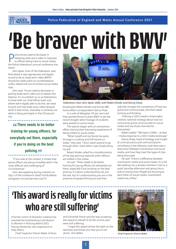

## **Be bra** 'Be braver with BWV'

olice forces need to be braver in releasing body-worn video in response to officers being tried on social media, **1.30 P Payies The Police forces need to be braver in response to officers being tried on social media, the Police Federation's annual conference has** heard.

John Apter, chair of the Federation, said that where it was appropriate and legally sound to do so, body-worn video (BWV) should be made public to counterbalance unfair, edited and out of context social media clips.

John said: "Forces need to be braver in putting body-worn video out to redress the balance. It's incumbent on us as Federations to liaise with our chief officer team and, where we're legally able to do this, we need to push out that body-worn video because what it does show, invariably, is certainly not what is being portrayed in that 20-second clip.

**" training for young officers, for There needs to be better everybody out there, especially if you're doing on the beat policing.** 55

"If you look at the context, it shows that police officers are doing incredibly well in the most difficult and challenging of circumstances."

John was speaking during a session on Day 2 of the conference titled Trial By Media alongside criminal barrister and TV



*Federation chair John Apter, (left), with Robert Rinder and Danny Shaw.*

broadcaster Robert Rinder and former BBC home affairs correspondent Danny Shaw.

In a vote of delegates, 93 per cent said they wanted forces to share BWV to set the record straight when footage of incidents were posted on social media.

The session began with an anonymous officer sharing their harrowing experience of being vilified on social media.

"What myself and my family has gone through is crushing and still haunts us today," they said, "I don't want anyone to go through what I have when I was simply doing my job."

Robert Rinder called for a transformation of the way policing responds when officers are vilified in the media.

He said: "There needs to be better training for young officers, for everybody out there, especially if you're doing on the beat policing. It's about understanding not just the law, but it's understanding you are in the presence of people filming you and that

radically changes the complexion of how you police and communicate, and that needs training and thinking.

"Policing in 2021 needs a meaningful, creative, national strategy about how our community police communicate on social media and use those channels for themselves."

Robert added: "We have a 1990s – at best – media response to a 2021 media landscape."

Danny Shaw, head of strategy and insight at criminal justice and communications consultancy Crest Advisory, said there was a distinction between mainstream and social media, and how they treat the types of clips being discussed.

He said:"There's a difference between mainstream media and social media. It's a bit like walking into a private members' club on a quiet Saturday afternoon and going into a pub at closing time. People are shouting at each other on social media, mainstream media has a filter."

## 'This award is really for victims who are still suffering'

A former victim of domestic violence has received the Outstanding Contribution to Women in Policing Award 2021 having shared her own experience to help others.

Chief Inspector Sharon Baker of Avon

and Somerset Police said she was accepting the award on behalf of all the victims who were still suffering.

"I hope this award shines the light on the darkness and shows you that you're not alone," she added.



*Chief Inspector Sharon Baker.*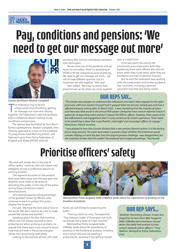#### UNDER<br>PRESSIDE

### Pay, cond need to get our message out more' Pay, conditions and pensions: 'We



*Session facilitator Alastair Campbell.*

The Federation has to be the<br>
unequivocal voice of policing, getting<br>
its message out more and rallying<br>
together, the Federation's national secretary he Federation has to be the unequivocal voice of policing, getting its message out more and rallying told a conference session looking at pay, conditions and pensions.

The session was facilitated by Tony Blair's former spokesperson, Alastair Campbell, who recently appeared as a host on the breakfast TV programme Good Morning Britain, and featured inputs from Police Federation of England and Wales (PFEW) national

secretary Alex Duncan and deputy secretary John Partington.

"As we come out of the pandemic and we return to normality, I think it's beholding on PFEW to be the unequivocal voice of policing. We need to get our message out more – we will all have different opinions, but it's important we rally together," Alex said.

John added: "We have to realise how powerful we can be when we come together with a united front."

Time was spent discussing the uncertainty around pensions with Alex explaining there were officers who did not know when they could retire, what they are entitled to and had no pension forecast.

But he said the Federation was working with the Government and further guidance was imminent, including a pension calculator tool that was being tested.

#### **OUR REPS SAY...**

*"This session was complex to understand for individuals who hadn't been exposed to the topics previously. I felt even Alastair Campell hadn't grasped what the pension remedy was and how it affected everyone retiring after 31 March 2022. It was interesting that the majority of voters said there was little worth in the annual PDR system. Derbyshire have used an informal 'check-in' system for at least three years and don't impose the PDR on officers. However, there seems to be less enforcement and engagement and it is only carried out by certain supervisors. There needs to be something in place that is worthwhile, meaningful and encourages officers to engage."*  **Kirsty Bunn, branch secretary**

*"I was pleased to hear Alex Duncan disclose that a new pension forecast system is in the testing phase; long overdue. The panel were asked a question about whether the Federation would consider helping out with the fees from the original pension challenge. I was disappointed, but not surprised, to hear that this couldn't be answered due to legal proceedings."* **Paul Russell**

## Prioritise officers' safety

"My view will always fall on the side of officer safety," national chair John Apter told delegates during a conference session on policing protests.

The segment focussed on the protests that have taken place over the past year and whether more needs to be done on educating the public on the role of the police during these sometimes violent demonstrations.

John warned against taking advantage of the goodwill shown by officers, who continue to want to protect the public, despite the situation.

He said: "We have the best police force in the world. We don't have to do a lot to make people feel valued and wanted."

Speaking about the fact that frontline officers are not always required to wear protective kit when working at protests, he argued that there were more concerns about how they will look in the protective gear rather than prioritising staff safety.

Looking to the summer ahead, John said



*Metropolitan Police Sergeant Nikki O'Malley spoke about her experiences of working on the frontline at protests.*

forces are committed to protecting the public.

"Policing reacts to crisis," he explained, "The pressure cooker of frustration has built up and we had a taste of it last summer."

Metropolitan Police Sergeant Nikki O'Malley spoke about her experiences of working on the frontline at protests, including one in which she was not wearing a protective kit, resulting in her getting injured.

#### **OUR REP SAYS...**

*"Another interesting session. It was very impactive to hear from Met Sergeant Nikki O'Malley who had been injured when the Hyde Park protest turned violent towards police officers."* **Tony Wetton, Derbyshire Police Federation chair**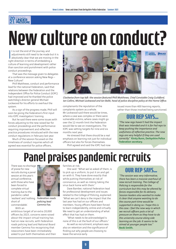

#### **PW CUI** Senior Cabinet Minister New culture on conduct?

t is not the end of the journey, and<br>adjustments still need to be made but it is<br>absolutely clear that we are moving in the<br>right direction in terms of embedding a t is not the end of the journey, and adjustments still need to be made but it is *12.20pm LUNCH* 1pm **Policing Under Pressure** absolutely clear that we are moving in the culture of learning and development rather than sanction and punishment with police <sub>c</sub>onduct proceedings.

That was the message given to delegates at a conference session asking New Regs – New Culture?

Phill Matthews, conduct and performance lead for the national Federation, said that relations between the Federation and the Independent Office for Police Conduct (IOPC) had improved and he thanked the police watchdog's director general Michael Lockwood for his efforts to overhaul the system.

As a sign of the progress made, Phill will soon be giving the Federation's first input into IOPC investigators' training.

But he said there were some issues with forces adjusting to the new raised bar for conduct proceedings and the performance requiring improvement and reflective practice procedures introduced with the new conduct regulations in February last year.

Much of the session focussed on the timeliness of conduct inquiries which all agreed was essential for police officers,



*Clockwise from top left: the session featured Phill Matthews, Chief Constable Craig Guildford, Ian Collins, Michael Lockwood and Ian Balbi, head of police discipline policy at the Home Office.*

complainants the reputation of the complaints system as a whole. Mr Lockwood said there would be times, where a case was complex or there were vulnerable victims, where cases might go over the 12-month limit the Federation would like to see on investigations. The IOPC was setting targets for nine and six months next year.

He stressed that there should be a real emphasis on learning not just for individual officers but also for forces themselves. Phill agreed and said the IOPC had now

issued more than 400 learning reports, rather than those involved being sanctioned.

#### **OUR REP SAYS...**

*"The new regs haven't had the impact that was intended and it is for Fed reps to keep pushing the importance and usefulness of reflective practice. The new regs are very helpful if they are used correctly."* **Kirsty Bunn, Derbyshire Police Federation secretary.**

Panel praises pandemic recruits

There was no shortage of praise for new recruits during a panel session at this year's annual conference, with those who have been forced to complete virtual training due to the pandemic called 'resilient' and 'nothing *Federation roads*  short of commendable'.

With an



*policing lead Gemma Fox.*

ambitious target of an extra 20,000 officers by 2023, concerns were raised about the impact virtual training has had on new recruits, with Federation roads policing lead and National Board member Gemma Fox recognising that newcomers have been immediately asked to put both themselves and their families at risk.

She said: "What we've asked of them, is to pick up a uniform, to put it on and get on with it. They have done exactly that while putting themselves at risk of coronavirus, as well as risking taking the virus back home with them."

Dave Bamber, national Federation lead for professional development and issues related to the College of Policing, explained: "What we can't deny is the impact that the last year has had on our officers and members. Young officers have been forced to learn independently, online and virtually. We need to get an understanding of what effect that has had on them.

"What needs to be acknowledged is none of this is at the fault of our officers."

As well as recruitment, emphasis was also on retention and the significance of finding out why people are choosing to leave the service early.

#### **OUR REP SAYS...**

*"The session was very informative, there has been a massive overhaul of new recruit training. The College of Policing is responsible for the curriculum but this may be altered by forces responsible for its delivery. Session leaders also wanted to make it clear that anyone wanting to do the course part-time would be supported in doing so. I hope this is the case. I feel the new way in which we recruit officers puts a lot of pressure on them as they have to do the university course along side learning on the job. It seems to be aimed at younger people too."*  **Becki Smith.**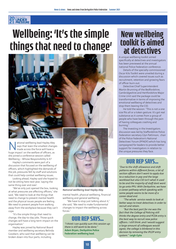

## **Wellbeing: 'It's the simple** things that need to change'



ational wellbeing lead Hayley Aley<br>
says that 'even the smallest change<br>
made across the force will have a<br>
huge impact' on the welfare of officers, as says that 'even the smallest changes made across the force will have a she joined a conference session called Wellbeing – Whose Responsibility Is It?

Hayley's comments were part of a discussion that focused on the wellbeing of officers, which highlighted the demands of the job, pressures felt by staff and solutions that could help combat wellbeing issues.

Looking ahead, Hayley said she hoped to not be sitting here next year, 'saying the same thing over and over'.

"We've only just opened the box, looking at what pressures are affecting officers," she said, "We need to look at the things that need to change to prevent mental health and the physical issues people are feeling. We need to prevent people from walking away from the workplace because they can't cope.

"It's the simple things that need to change, the day-to-day jobs. Those quick changes will have a long-term impact on the organisation."

Hayley was joined by National Board member and wellbeing secretary Belinda Goodwin, who said that wellbeing can be broken down into four parts, including



*National wellbeing lead Hayley Aley.*

mental health, physical wellbeing, financial wellbeing and general wellbeing.

"We have to stop just talking about it," she said, "We need to make fundamental changes to impact the wellbeing across forces."

#### **OUR REP SAYS...**

*"I think I can quickly sum this session up: there is still work to be done."* **Adam Bryan, Derbyshire Police Federation wellbeing lead.**

### New wellbeing toolkit is aimed at detectives

A unique wellbeing toolkit aimed specifically at detectives and investigators has been previewed at the annual national Police Federation conference.

Details of the specially-commissioned Oscar Kilo Toolkit were unveiled during a discussion which covered issues such as recruitment, retention and growing fears of officer burn-out.

Detective Chief Superintendent Martin Brunning of the Bedfordshire, Cambridgeshire and Hertfordshire Major Crime Unit said the package could be transformative in terms of improving the emotional wellbeing of detectives and stop them leaving the CID.

He told the session: "This is not a one size fits all or a token gesture. It's got real substance as it comes from a group of people who have been through the pain of having colleagues crashing and burning."

The Investing in the Investigators discussion was led by Staffordshire Police Federation secretary Glyn Pattinson, chair of the Police Federation's National Detectives' Forum (PFNDF) which has long campaigned for leaders to provide better support for investigators in relation to the unique pressures they face.

#### **OUR REP SAYS...**

*"Due to the shift allowance and shift patterns within different forces, a lot of section officers don't want to apply due to a reduction in pay and the large workload but also CID isn't what it used to be and the majority of staff dont want to go onto PPU. With Derbyshire, we have a career pathway which speaking with some people seems to be more of a career dead end.* 

*"The whole service needs to look at better ways to treat detectives in order to recruit and retain.*

*"But the best part for me was the fact that the College of Policing still thinks the degree-entry and PCDA entry is the best way to recruit new police officers. I still think ,and I would suggest a large amount of colleagues would agree, the college is blinkered in this decision by removing the IPLDP entry system."* **Leigh Gyte**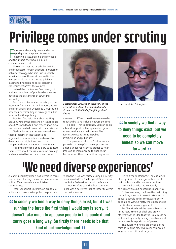

# Privilege comes under scrutiny

airness and equality came under the spotlight with a powerful session examining race, policing and privilege airness and equality came under the<br>spotlight with a powerful session<br>examining race, policing and privilege<br>and the impact they have on public confidence and trust.

The session was led by scholar, activist and broadcaster Robert Beckford, a professor of black theology, who said British society remained one of the most unequal in the western world with unchecked privilege leading to financial and socio-economic consequences across the country.

He told the conference: "We have got to address the subject of privilege because we have got the persistence of structural inequality."

Session host Zac Mader, secretary of the Federation's Black, Asian and Minority Ethnic and BAME Belief Self-Organised Group, asked how the understanding of privilege could be improved within policing.

Prof Beckford said: "It is about talking about it. Part of the problem is it is not talked about. We need to talk and reflect upon it, to see how we can help in certain circumstances.

"Radical honesty is necessary to address these problems in institutions and organisations. In society we find a way to deny things exist, but we need to be completely honest so we can move forward."

He also said officers should try to educate themselves about the issues around privilege and suggested better training and honest



*Session host Zac Mader, secretary of the Professor Robert Beckford. Federation's Black, Asian and Minority Ethnic and BAME Belief Self-Organised Group.*

answers to difficult questions were needed to tackle bias and inclusion across policing.

He said: "Think about how you can be an ally and support under-represented groups to ensure there is a real fairness. The fairness we want to see in public institutions and public life."

The professor called for 'really clear and powerful pathways' for career progression among under-represented groups to help improve an imbalance so the police can better reflect the communities they serve.



**" to deny things exist, but we**  *<u>If In society we find a way</u>* **need to be completely honest so we can move forward.** *<b>,* **..........** 

## 'We need diverse experiences'

A leading equality expert has identified three key barriers blocking the recruitment of new police officers from black and Asian communities.

Professor Robert Beckford, an academic, activist and broadcaster, pulled no punches

 $\bullet\bullet\bullet\bullet$ 

when the issue was raised during a diversity session called The Challenge of Difference at the Police Federation annual conference.

Prof Beckford said the first stumbling block was a perceived lack of integrity within the police service.

**Example 15 Section** we find a way to deny things exist, but if I was running the force the first thing I would say is sorry. It **running the force the first thing I would say is sorry. It doesn't take much to appease people in this context and sorry goes a long way. So firstly there needs to be that kind of acknowledgement. "**

He told the conference: "There is a lack of recognition of the negative history of policing black and brown communities, particularly black deaths in custody, particularly around miscarriages of justice.

"If I was running the force the first thing I would say is sorry. It doesn't take much to appease people in this context and sorry goes a long way. So firstly there needs to be that kind of acknowledgement."

Prof Beckford said the second key factor in the recruitment of black and brown officers was the idea that the issue could be addressed by simply having more black and brown people in positions of power.

The award-winning academic said the third stumbling block was over-reliance on long-term recruitment targets.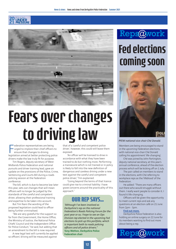



# Fears over changes to driving law

Francisco ederation representatives are being<br>
urged to implore their chief officers to<br>
ensure that changes to driving<br>
legislation aimed at better protecting police ederation representatives are being urged to implore their chief officers to ensure that changes to driving drivers make the law truly fit for purpose.

Tim Rogers, deputy secretary of West Midlands Police Federation and national pursuits and driver training lead, gave an update on the provisions of the Police, Crime, Sentencing and Courts Bill during a roads policing session at the Federation conference.

The bill, which is due to become law later this year, sets out changes that will mean officers will no longer be judged by the standards of the careful and competent driver, allowing their professional training and expertise to be taken into account.

But Tim fears the wording of the proposed legislation could lead to officer being further criminalised.

"We are very grateful for the support so far from the Government, the Home Office, the Ministry of Justice, the National Police Chiefs' Council and the Independent Office for Police Conduct," he said, but adding that an amendment to the bill is now required.

A new legal test will currently be applied so officers' driving will be measured against

that of a 'careful and competent police driver', however, this could still leave them exposed.

"An officer will be licensed to drive in accordance with what they have been trained to do but nothing more. Performing a manoeuvre which is not trained or in policy is likely to fall into the new definition of dangerous and careless driving under a new test against the careful and competent police driver," Tim explained.

"Going beyond the terms of that licence could give rise to criminal liability. I have grave concerns around the practicality of this approach."

#### **OUR REP SAYS...**

*"Although I've been involved as Derbyshire's rep on the national Federation's Roads Policing Forum for the past year or so, I hope to see an Ops Division rep elected in the upcoming Fed elections to pick up this portfolio, which is important both to roads policing officers and all police drivers."* **Tony Wetton, Derbyshire Police Federation chair**



## Fed elections coming soon



*PFEW national vice-chair Ché Donald.*

Members are being encouraged to stand in the upcoming Federation elections, with national vice-chair Ché Donald calling his appointment 'life-changing'.

Ché was joined by John Partington, deputy national secretary, at this year's annual conference, ahead of the election process which will be kicking off on 1 July.

The pair called on members to stand in the elections, with Ché referring to workplace reps as the 'lifeblood' of the Federation.

He added: "There are many officers out there who would struggle without them. I really want people to consider it. I found it life-changing.

Officers will be given the opportunity to meet current reps and ask any questions at an election café on 21 June from 2pm - 3pm.

#### **Find out more.**

Derbyshire Police Federation is also holding an online surgery on 22 June for its members wanting to find out more about being a rep.